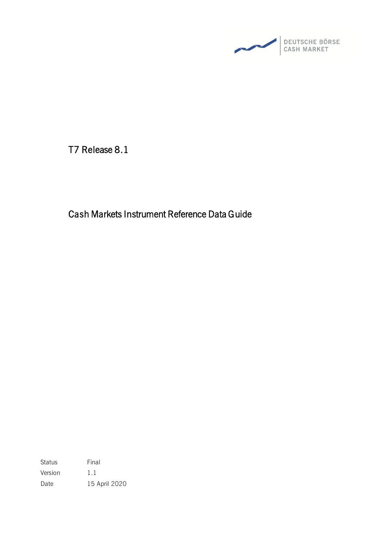

T7 Release 8.1

Cash Markets Instrument Reference Data Guide

Status Final Version 1.1 Date 15 April 2020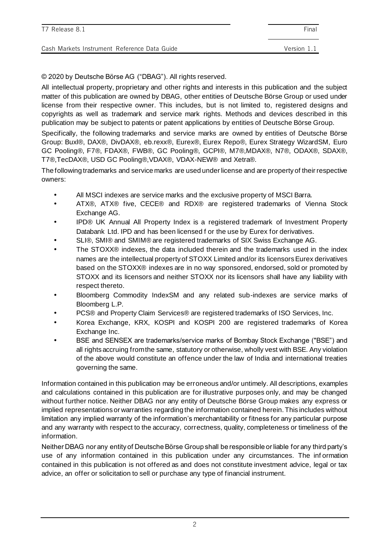| T7 Release 8.1                               | Final       |
|----------------------------------------------|-------------|
| Cash Markets Instrument Reference Data Guide | Version 1.1 |

© 2020 by Deutsche Börse AG ("DBAG"). All rights reserved.

All intellectual property, proprietary and other rights and interests in this publication and the subject matter of this publication are owned by DBAG, other entities of Deutsche Börse Group or used under license from their respective owner. This includes, but is not limited to, registered designs and copyrights as well as trademark and service mark rights. Methods and devices described in this publication may be subject to patents or patent applications by entities of Deutsche Börse Group.

Specifically, the following trademarks and service marks are owned by entities of Deutsche Börse Group: Buxl®, DAX®, DivDAX®, eb.rexx®, Eurex®, Eurex Repo®, Eurex Strategy WizardSM, Euro GC Pooling®, F7®, FDAX®, FWB®, GC Pooling®, GCPI®, M7®,MDAX®, N7®, ODAX®, SDAX®, T7®,TecDAX®, USD GC Pooling®,VDAX®, VDAX-NEW® and Xetra®.

The following trademarks and service marks are used under license and are property of their respective owners:

- All MSCI indexes are service marks and the exclusive property of MSCI Barra.
- ATX®, ATX® five, CECE® and RDX® are registered trademarks of Vienna Stock Exchange AG.
- IPD® UK Annual All Property Index is a registered trademark of Investment Property Databank Ltd. IPD and has been licensed f or the use by Eurex for derivatives.
- SLI®, SMI® and SMIM® are registered trademarks of SIX Swiss Exchange AG.
- The STOXX® indexes, the data included therein and the trademarks used in the index names are the intellectual property of STOXX Limited and/or its licensors Eurex derivatives based on the STOXX® indexes are in no way sponsored, endorsed, sold or promoted by STOXX and its licensors and neither STOXX nor its licensors shall have any liability with respect thereto.
- Bloomberg Commodity IndexSM and any related sub-indexes are service marks of Bloomberg L.P.
- PCS® and Property Claim Services® are registered trademarks of ISO Services, Inc.
- Korea Exchange, KRX, KOSPI and KOSPI 200 are registered trademarks of Korea Exchange Inc.
- BSE and SENSEX are trademarks/service marks of Bombay Stock Exchange ("BSE") and all rights accruing from the same, statutory or otherwise, wholly vest with BSE. Any violation of the above would constitute an offence under the law of India and international treaties governing the same.

Information contained in this publication may be erroneous and/or untimely. All descriptions, examples and calculations contained in this publication are for illustrative purposes only, and may be changed without further notice. Neither DBAG nor any entity of Deutsche Börse Group makes any express or implied representations or warranties regarding the information contained herein. This includes without limitation any implied warranty of the information's merchantability or fitness for any particular purpose and any warranty with respect to the accuracy, correctness, quality, completeness or timeliness of the information.

Neither DBAG nor any entity of Deutsche Börse Group shall be responsible or liable for any third party's use of any information contained in this publication under any circumstances. The inf ormation contained in this publication is not offered as and does not constitute investment advice, legal or tax advice, an offer or solicitation to sell or purchase any type of financial instrument.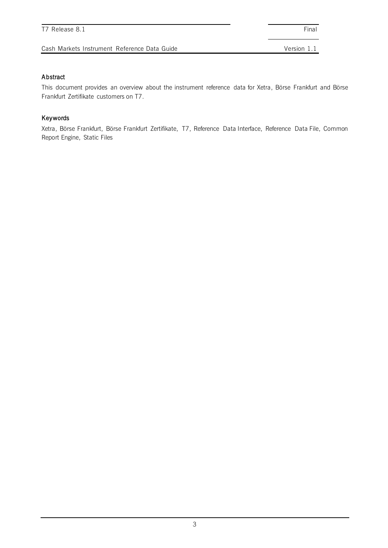#### Abstract

This document provides an overview about the instrument reference data for Xetra, Börse Frankfurt and Börse Frankfurt Zertifikate customers on T7.

#### Keywords

Xetra, Börse Frankfurt, Börse Frankfurt Zertifikate, T7, Reference Data Interface, Reference Data File, Common Report Engine, Static Files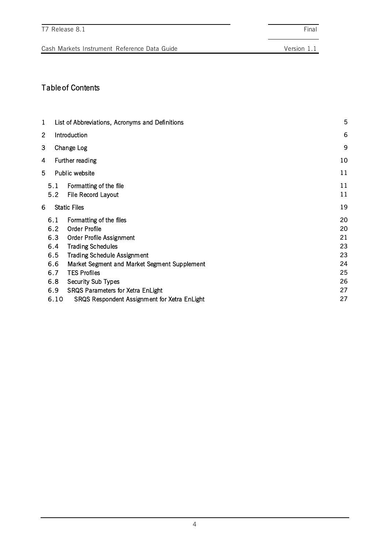Table of Contents

| 5<br>List of Abbreviations, Acronyms and Definitions                                                                                                                                                                                                                                                         |                                                          |  |
|--------------------------------------------------------------------------------------------------------------------------------------------------------------------------------------------------------------------------------------------------------------------------------------------------------------|----------------------------------------------------------|--|
| Introduction                                                                                                                                                                                                                                                                                                 | 6                                                        |  |
| Change Log                                                                                                                                                                                                                                                                                                   | 9                                                        |  |
| Further reading                                                                                                                                                                                                                                                                                              | 10                                                       |  |
| Public website                                                                                                                                                                                                                                                                                               | 11                                                       |  |
| Formatting of the file<br>File Record Layout                                                                                                                                                                                                                                                                 | 11<br>11                                                 |  |
| <b>Static Files</b>                                                                                                                                                                                                                                                                                          | 19                                                       |  |
| Formatting of the files<br><b>Order Profile</b><br><b>Order Profile Assignment</b><br><b>Trading Schedules</b><br><b>Trading Schedule Assignment</b><br>Market Segment and Market Segment Supplement<br><b>TES Profiles</b><br><b>Security Sub Types</b><br><b>SRQS Parameters for Xetra EnLight</b><br>6.10 | 20<br>20<br>21<br>23<br>23<br>24<br>25<br>26<br>27<br>27 |  |
|                                                                                                                                                                                                                                                                                                              | SRQS Respondent Assignment for Xetra EnLight             |  |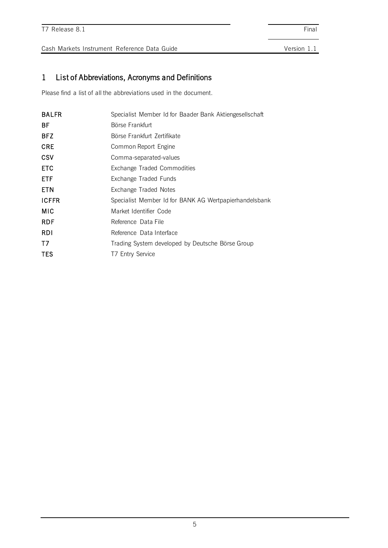### 1 List of Abbreviations, Acronyms and Definitions

Please find a list of all the abbreviations used in the document.

| <b>BALFR</b> | Specialist Member Id for Baader Bank Aktiengesellschaft |  |  |
|--------------|---------------------------------------------------------|--|--|
| ВF           | Börse Frankfurt                                         |  |  |
| <b>BFZ</b>   | Börse Frankfurt Zertifikate                             |  |  |
| <b>CRE</b>   | Common Report Engine                                    |  |  |
| <b>CSV</b>   | Comma-separated-values                                  |  |  |
| <b>ETC</b>   | Exchange Traded Commodities                             |  |  |
| <b>ETF</b>   | Exchange Traded Funds                                   |  |  |
| <b>ETN</b>   | Exchange Traded Notes                                   |  |  |
| <b>ICFFR</b> | Specialist Member Id for BANK AG Wertpapierhandelsbank  |  |  |
| MIC          | Market Identifier Code                                  |  |  |
| <b>RDF</b>   | Reference Data File                                     |  |  |
| <b>RDI</b>   | Reference Data Interface                                |  |  |
| T7           | Trading System developed by Deutsche Börse Group        |  |  |
| TES          | T7 Entry Service                                        |  |  |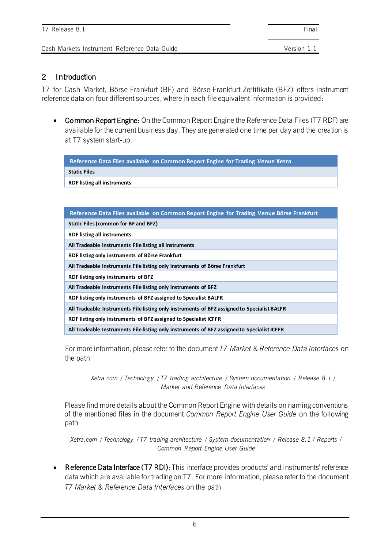#### 2 Introduction

**RDF listing all instruments**

T7 for Cash Market, Börse Frankfurt (BF) and Börse Frankfurt Zertifikate (BFZ) offers instrument reference data on four different sources, where in each file equivalent information is provided:

• Common Report Engine: On the Common Report Engine the Reference Data Files (T7 RDF) are available for the current business day. They are generated one time per day and the creation is at T7 system start-up.

**Reference Data Files available on Common Report Engine for Trading Venue Xetra Static Files** 

| Reference Data Files available on Common Report Engine for Trading Venue Börse Frankfurt    |
|---------------------------------------------------------------------------------------------|
| Static Files (common for BF and BFZ)                                                        |
| <b>RDF listing all instruments</b>                                                          |
| All Tradeable Instruments File listing all instruments                                      |
| RDF listing only instruments of Börse Frankfurt                                             |
| All Tradeable Instruments File listing only instruments of Börse Frankfurt                  |
| RDF listing only instruments of BFZ                                                         |
| All Tradeable Instruments File listing only instruments of BFZ                              |
| RDF listing only instruments of BFZ assigned to Specialist BALFR                            |
| All Tradeable Instruments File listing only instruments of BFZ assigned to Specialist BALFR |
| RDF listing only instruments of BFZ assigned to Specialist ICFFR                            |
| All Tradeable Instruments File listing only instruments of BFZ assigned to Specialist ICFFR |

For more information, please refer to the document *T7 Market & Reference Data Interfaces* on the path

*Xetra.com / Technology / T7 trading architecture / System documentation / Release 8.1 / Market and Reference Data Interfaces*

Please find more details about the Common Report Engine with details on naming conventions of the mentioned files in the document *Common Report Engine User Guide* on the following path

*Xetra.com / Technology / T7 trading architecture / System documentation / Release 8.1 / Reports / Common Report Engine User Guide*

• Reference Data Interface (T7 RDI): This interface provides products' and instruments' reference data which are available for trading on T7. For more information, please refer to the document *T7 Market & Reference Data Interfaces* on the path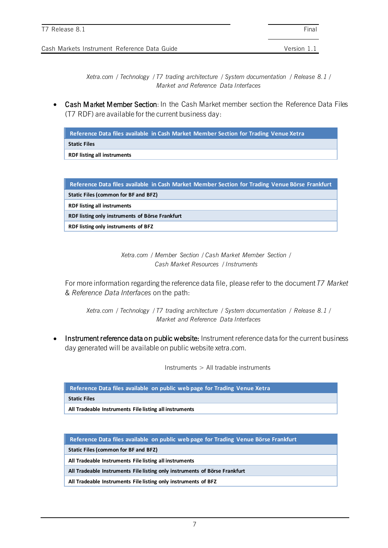*Xetra.com / Technology / T7 trading architecture / System documentation / Release 8.1 / Market and Reference Data Interfaces*

• Cash Market Member Section: In the Cash Market member section the Reference Data Files (T7 RDF) are available for the current business day:

**Reference Data files available in Cash Market Member Section for Trading Venue Xetra**

**Static Files** 

**RDF listing all instruments**

| Reference Data files available in Cash Market Member Section for Trading Venue Börse Frankfurt |
|------------------------------------------------------------------------------------------------|
| <b>Static Files (common for BF and BFZ)</b>                                                    |
| <b>RDF listing all instruments</b>                                                             |
| RDF listing only instruments of Börse Frankfurt                                                |
| RDF listing only instruments of BFZ                                                            |

*Xetra.com / Member Section / Cash Market Member Section / Cash Market Resources / Instruments* 

For more information regarding the reference data file, please refer to the document *T7 Market & Reference Data Interfaces* on the path:

*Xetra.com / Technology / T7 trading architecture / System documentation / Release 8.1 / Market and Reference Data Interfaces*

Instrument reference data on public website: Instrument reference data for the current business day generated will be available on public website xetra.com.

Instruments > All tradable instruments

**Reference Data files available on public web page for Trading Venue Xetra**

**Static Files** 

**All Tradeable Instruments File listing all instruments**

**Reference Data files available on public web page for Trading Venue Börse Frankfurt**

**Static Files (common for BF and BFZ)**

**All Tradeable Instruments File listing all instruments**

**All Tradeable Instruments File listing only instruments of Börse Frankfurt**

**All Tradeable Instruments File listing only instruments of BFZ**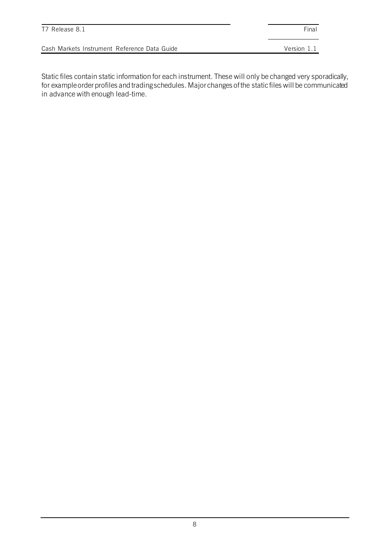| T7 Release 8.1                               | Final       |
|----------------------------------------------|-------------|
| Cash Markets Instrument Reference Data Guide | Version 1.1 |

Static files contain static information for each instrument. These will only be changed very sporadically, for example order profiles and trading schedules. Major changes of the static files will be communicated in advance with enough lead-time.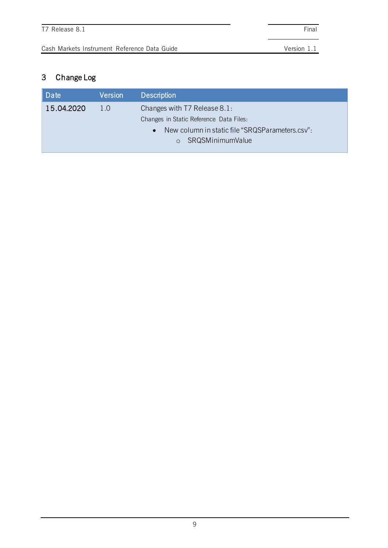# 3 Change Log

| Date       | <b>Version</b>                                               | <b>Description</b>                      |  |
|------------|--------------------------------------------------------------|-----------------------------------------|--|
| 15.04.2020 | 1.0                                                          | Changes with T7 Release 8.1:            |  |
|            |                                                              | Changes in Static Reference Data Files: |  |
|            | New column in static file "SRQSParameters.csv":<br>$\bullet$ |                                         |  |
|            |                                                              | o SRQSMinimumValue                      |  |
|            |                                                              |                                         |  |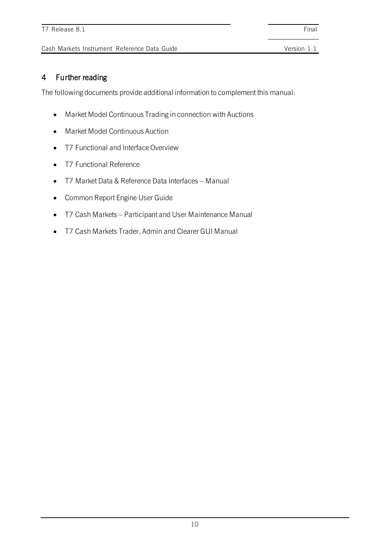### 4 Further reading

The following documents provide additional information to complement this manual:

- Market Model Continuous Trading in connection with Auctions
- Market Model Continuous Auction
- T7 Functional and Interface Overview
- T7 Functional Reference
- T7 Market Data & Reference Data Interfaces Manual
- Common Report Engine User Guide
- T7 Cash Markets Participant and User Maintenance Manual
- T7 Cash Markets Trader, Admin and Clearer GUI Manual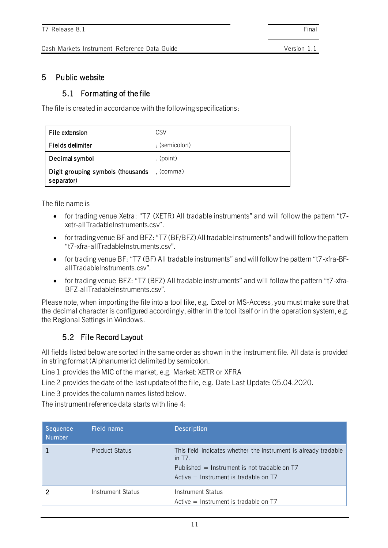#### 5 Public website

#### 5.1 Formatting of the file

The file is created in accordance with the following specifications:

| File extension                                  | CSV           |
|-------------------------------------------------|---------------|
| Fields delimiter                                | ; (semicolon) |
| Decimal symbol                                  | . $(point)$   |
| Digit grouping symbols (thousands<br>separator) | , (comma)     |

The file name is

- for trading venue Xetra: "T7 (XETR) All tradable instruments" and will follow the pattern "t7 xetr-allTradableInstruments.csv".
- for trading venue BF and BFZ: "T7 (BF/BFZ) All tradable instruments" and will follow the pattern "t7-xfra-allTradableInstruments.csv".
- for trading venue BF: "T7 (BF) All tradable instruments" and will follow the pattern "t7-xfra-BFallTradableInstruments.csv".
- for trading venue BFZ: "T7 (BFZ) All tradable instruments" and will follow the pattern "t7-xfra-BFZ-allTradableInstruments.csv".

Please note, when importing the file into a tool like, e.g. Excel or MS-Access, you must make sure that the decimal character is configured accordingly, either in the tool itself or in the operation system, e.g. the Regional Settings in Windows.

### 5.2 File Record Layout

All fields listed below are sorted in the same order as shown in the instrument file. All data is provided in string format (Alphanumeric) delimited by semicolon.

Line 1 provides the MIC of the market, e.g. Market: XETR or XFRA

Line 2 provides the date of the last update of the file, e.g. Date Last Update: 05.04.2020.

Line 3 provides the column names listed below.

The instrument reference data starts with line 4:

| Sequence<br><b>Number</b> | Field name            | <b>Description</b>                                                                                                                                                        |
|---------------------------|-----------------------|---------------------------------------------------------------------------------------------------------------------------------------------------------------------------|
|                           | <b>Product Status</b> | This field indicates whether the instrument is already tradable<br>in $T7$ .<br>Published $=$ Instrument is not tradable on T7<br>$Active = Instrument is tradable on T7$ |
|                           | Instrument Status     | Instrument Status<br>$Active = Instrument is tradable on T7$                                                                                                              |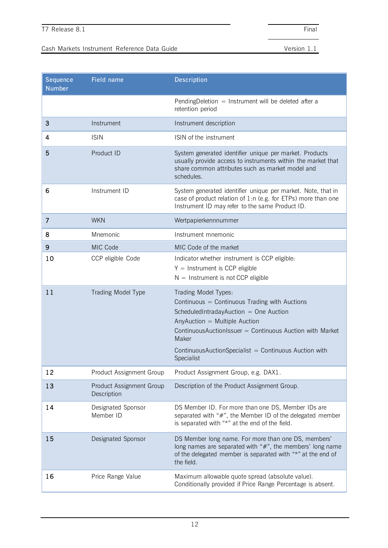| Sequence<br><b>Number</b> | <b>Field name</b>                       | Description                                                                                                                                                                                                                                                                                    |
|---------------------------|-----------------------------------------|------------------------------------------------------------------------------------------------------------------------------------------------------------------------------------------------------------------------------------------------------------------------------------------------|
|                           |                                         | Pending Deletion $=$ Instrument will be deleted after a<br>retention period                                                                                                                                                                                                                    |
| 3                         | Instrument                              | Instrument description                                                                                                                                                                                                                                                                         |
| 4                         | <b>ISIN</b>                             | ISIN of the instrument                                                                                                                                                                                                                                                                         |
| 5                         | Product ID                              | System generated identifier unique per market. Products<br>usually provide access to instruments within the market that<br>share common attributes such as market model and<br>schedules.                                                                                                      |
| 6                         | Instrument ID                           | System generated identifier unique per market. Note, that in<br>case of product relation of 1:n (e.g. for ETPs) more than one<br>Instrument ID may refer to the same Product ID.                                                                                                               |
| 7                         | <b>WKN</b>                              | Wertpapierkennnummer                                                                                                                                                                                                                                                                           |
| 8                         | Mnemonic                                | Instrument mnemonic                                                                                                                                                                                                                                                                            |
| 9                         | MIC Code                                | MIC Code of the market                                                                                                                                                                                                                                                                         |
| 10                        | CCP eligible Code                       | Indicator whether instrument is CCP eligible:<br>$Y =$ Instrument is CCP eligible<br>$N =$ Instrument is not CCP eligible                                                                                                                                                                      |
| 11                        | Trading Model Type                      |                                                                                                                                                                                                                                                                                                |
|                           |                                         | Trading Model Types:<br>Continuous = Continuous Trading with Auctions<br>ScheduledIntradayAuction = One Auction<br>AnyAuction = Multiple Auction<br>Continuous Auction Issuer = Continuous Auction with Market<br>Maker<br>ContinuousAuctionSpecialist = Continuous Auction with<br>Specialist |
| 12                        | Product Assignment Group                | Product Assignment Group, e.g. DAX1.                                                                                                                                                                                                                                                           |
| 13                        | Product Assignment Group<br>Description | Description of the Product Assignment Group.                                                                                                                                                                                                                                                   |
| 14                        | Designated Sponsor<br>Member ID         | DS Member ID. For more than one DS, Member IDs are<br>separated with "#", the Member ID of the delegated member<br>is separated with "*" at the end of the field.                                                                                                                              |
| 15                        | Designated Sponsor                      | DS Member long name. For more than one DS, members'<br>long names are separated with "#", the members' long name<br>of the delegated member is separated with "*" at the end of<br>the field.                                                                                                  |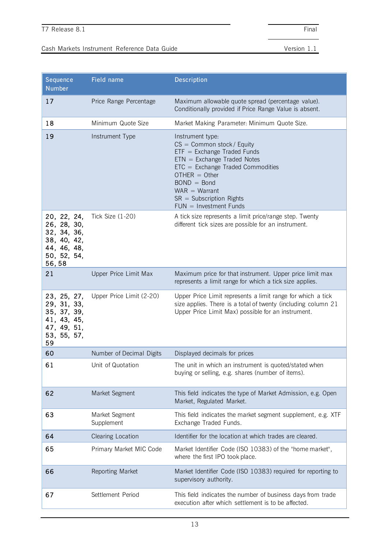| Sequence<br><b>Number</b>                                                                       | Field name                   | Description                                                                                                                                                                                                                                                            |
|-------------------------------------------------------------------------------------------------|------------------------------|------------------------------------------------------------------------------------------------------------------------------------------------------------------------------------------------------------------------------------------------------------------------|
| 17                                                                                              | Price Range Percentage       | Maximum allowable quote spread (percentage value).<br>Conditionally provided if Price Range Value is absent.                                                                                                                                                           |
| 18                                                                                              | Minimum Quote Size           | Market Making Parameter: Minimum Quote Size.                                                                                                                                                                                                                           |
| 19                                                                                              | Instrument Type              | Instrument type:<br>$CS =$ Common stock/Equity<br>$ETF = Exchange Trade$ Funds<br>$ETN = Exchange Trade$ Notes<br>$ETC = Exchange Traded$ Commodities<br>$OTHER = Other$<br>$BOND = Bond$<br>$WAR = Warrant$<br>$SR = Subscription Rights$<br>$FUN = Investment Funds$ |
| 20, 22, 24,<br>26, 28, 30,<br>32, 34, 36,<br>38, 40, 42,<br>44, 46, 48,<br>50, 52, 54,<br>56,58 | Tick Size (1-20)             | A tick size represents a limit price/range step. Twenty<br>different tick sizes are possible for an instrument.                                                                                                                                                        |
| 21                                                                                              | Upper Price Limit Max        | Maximum price for that instrument. Upper price limit max<br>represents a limit range for which a tick size applies.                                                                                                                                                    |
| 23, 25, 27,<br>29, 31, 33,<br>35, 37, 39,<br>41, 43, 45,<br>47, 49, 51,<br>53, 55, 57,<br>59    | Upper Price Limit (2-20)     | Upper Price Limit represents a limit range for which a tick<br>size applies. There is a total of twenty (including column 21<br>Upper Price Limit Max) possible for an instrument.                                                                                     |
| 60                                                                                              | Number of Decimal Digits     | Displayed decimals for prices                                                                                                                                                                                                                                          |
| 61                                                                                              | Unit of Quotation            | The unit in which an instrument is quoted/stated when<br>buying or selling, e.g. shares (number of items).                                                                                                                                                             |
| 62                                                                                              | Market Segment               | This field indicates the type of Market Admission, e.g. Open<br>Market, Regulated Market.                                                                                                                                                                              |
| 63                                                                                              | Market Segment<br>Supplement | This field indicates the market segment supplement, e.g. XTF<br>Exchange Traded Funds.                                                                                                                                                                                 |
| 64                                                                                              | Clearing Location            | Identifier for the location at which trades are cleared.                                                                                                                                                                                                               |
| 65                                                                                              | Primary Market MIC Code      | Market Identifier Code (ISO 10383) of the "home market",<br>where the first IPO took place.                                                                                                                                                                            |
| 66                                                                                              | Reporting Market             | Market Identifier Code (ISO 10383) required for reporting to<br>supervisory authority.                                                                                                                                                                                 |
| 67                                                                                              | Settlement Period            | This field indicates the number of business days from trade<br>execution after which settlement is to be affected.                                                                                                                                                     |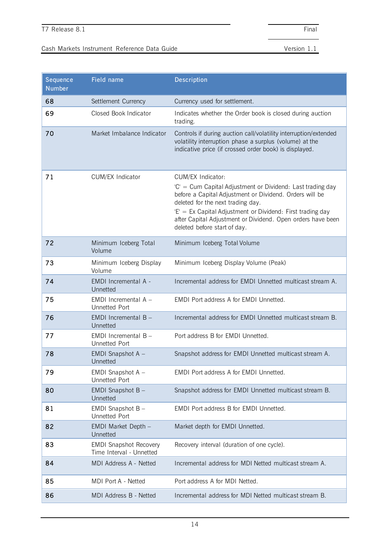| Sequence<br><b>Number</b> | Field name                                                | Description                                                                                                                                                                                                                                                                                                                                  |
|---------------------------|-----------------------------------------------------------|----------------------------------------------------------------------------------------------------------------------------------------------------------------------------------------------------------------------------------------------------------------------------------------------------------------------------------------------|
| 68                        | Settlement Currency                                       | Currency used for settlement.                                                                                                                                                                                                                                                                                                                |
| 69                        | Closed Book Indicator                                     | Indicates whether the Order book is closed during auction<br>trading.                                                                                                                                                                                                                                                                        |
| 70                        | Market Imbalance Indicator                                | Controls if during auction call/volatility interruption/extended<br>volatility interruption phase a surplus (volume) at the<br>indicative price (if crossed order book) is displayed.                                                                                                                                                        |
| 71                        | CUM/EX Indicator                                          | CUM/EX Indicator:<br>'C' = Cum Capital Adjustment or Dividend: Last trading day<br>before a Capital Adjustment or Dividend. Orders will be<br>deleted for the next trading day.<br>'E' = Ex Capital Adjustment or Dividend: First trading day<br>after Capital Adjustment or Dividend. Open orders have been<br>deleted before start of day. |
| 72                        | Minimum Iceberg Total<br>Volume                           | Minimum Iceberg Total Volume                                                                                                                                                                                                                                                                                                                 |
| 73                        | Minimum Iceberg Display<br>Volume                         | Minimum Iceberg Display Volume (Peak)                                                                                                                                                                                                                                                                                                        |
| 74                        | EMDI Incremental A -<br>Unnetted                          | Incremental address for EMDI Unnetted multicast stream A.                                                                                                                                                                                                                                                                                    |
| 75                        | EMDI Incremental A -<br><b>Unnetted Port</b>              | EMDI Port address A for EMDI Unnetted.                                                                                                                                                                                                                                                                                                       |
| 76                        | EMDI Incremental $B -$<br>Unnetted                        | Incremental address for EMDI Unnetted multicast stream B.                                                                                                                                                                                                                                                                                    |
| 77                        | EMDI Incremental $B -$<br><b>Unnetted Port</b>            | Port address B for EMDI Unnetted.                                                                                                                                                                                                                                                                                                            |
| 78                        | EMDI Snapshot A -<br>Unnetted                             | Snapshot address for EMDI Unnetted multicast stream A.                                                                                                                                                                                                                                                                                       |
| 79                        | EMDI Snapshot A -<br>Unnetted Port                        | EMDI Port address A for EMDI Unnetted.                                                                                                                                                                                                                                                                                                       |
| 80                        | EMDI Snapshot B-<br>Unnetted                              | Snapshot address for EMDI Unnetted multicast stream B.                                                                                                                                                                                                                                                                                       |
| 81                        | EMDI Snapshot B -<br><b>Unnetted Port</b>                 | <b>EMDI Port address B for EMDI Unnetted.</b>                                                                                                                                                                                                                                                                                                |
| 82                        | EMDI Market Depth -<br>Unnetted                           | Market depth for EMDI Unnetted.                                                                                                                                                                                                                                                                                                              |
| 83                        | <b>EMDI Snapshot Recovery</b><br>Time Interval - Unnetted | Recovery interval (duration of one cycle).                                                                                                                                                                                                                                                                                                   |
| 84                        | MDI Address A - Netted                                    | Incremental address for MDI Netted multicast stream A.                                                                                                                                                                                                                                                                                       |
| 85                        | MDI Port A - Netted                                       | Port address A for MDI Netted.                                                                                                                                                                                                                                                                                                               |
| 86                        | MDI Address B - Netted                                    | Incremental address for MDI Netted multicast stream B.                                                                                                                                                                                                                                                                                       |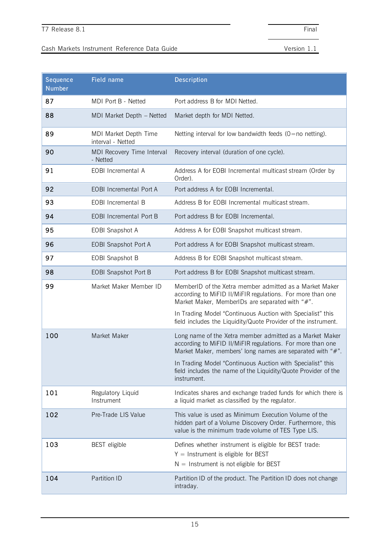| Sequence<br><b>Number</b> | Field name                                 | <b>Description</b>                                                                                                                                                                  |
|---------------------------|--------------------------------------------|-------------------------------------------------------------------------------------------------------------------------------------------------------------------------------------|
| 87                        | MDI Port B - Netted                        | Port address B for MDI Netted.                                                                                                                                                      |
| 88                        | MDI Market Depth - Netted                  | Market depth for MDI Netted.                                                                                                                                                        |
| 89                        | MDI Market Depth Time<br>interval - Netted | Netting interval for low bandwidth feeds $(0=$ no netting).                                                                                                                         |
| 90                        | MDI Recovery Time Interval<br>- Netted     | Recovery interval (duration of one cycle).                                                                                                                                          |
| 91                        | EOBI Incremental A                         | Address A for EOBI Incremental multicast stream (Order by<br>Order).                                                                                                                |
| 92                        | <b>EOBI Incremental Port A</b>             | Port address A for EOBI Incremental.                                                                                                                                                |
| 93                        | <b>EOBI</b> Incremental B                  | Address B for EOBI Incremental multicast stream.                                                                                                                                    |
| 94                        | <b>EOBI</b> Incremental Port B             | Port address B for EOBI Incremental.                                                                                                                                                |
| 95                        | EOBI Snapshot A                            | Address A for EOBI Snapshot multicast stream.                                                                                                                                       |
| 96                        | <b>EOBI Snapshot Port A</b>                | Port address A for EOBI Snapshot multicast stream.                                                                                                                                  |
| 97                        | <b>EOBI Snapshot B</b>                     | Address B for EOBI Snapshot multicast stream.                                                                                                                                       |
| 98                        | <b>EOBI Snapshot Port B</b>                | Port address B for EOBI Snapshot multicast stream.                                                                                                                                  |
| 99                        | Market Maker Member ID                     | MemberID of the Xetra member admitted as a Market Maker<br>according to MiFID II/MiFIR regulations. For more than one<br>Market Maker, MemberIDs are separated with "#".            |
|                           |                                            | In Trading Model "Continuous Auction with Specialist" this<br>field includes the Liquidity/Quote Provider of the instrument.                                                        |
| 100                       | Market Maker                               | Long name of the Xetra member admitted as a Market Maker<br>according to MiFID II/MiFIR regulations. For more than one<br>Market Maker, members' long names are separated with "#". |
|                           |                                            | In Trading Model "Continuous Auction with Specialist" this<br>field includes the name of the Liquidity/Quote Provider of the<br>instrument.                                         |
| 101                       | Regulatory Liquid<br>Instrument            | Indicates shares and exchange traded funds for which there is<br>a liquid market as classified by the regulator.                                                                    |
| 102                       | Pre-Trade LIS Value                        | This value is used as Minimum Execution Volume of the<br>hidden part of a Volume Discovery Order. Furthermore, this<br>value is the minimum trade volume of TES Type LIS.           |
| 103                       | <b>BEST</b> eligible                       | Defines whether instrument is eligible for BEST trade:<br>$Y =$ Instrument is eligible for BEST<br>$N =$ Instrument is not eligible for BEST                                        |
| 104                       | Partition ID                               | Partition ID of the product. The Partition ID does not change<br>intraday.                                                                                                          |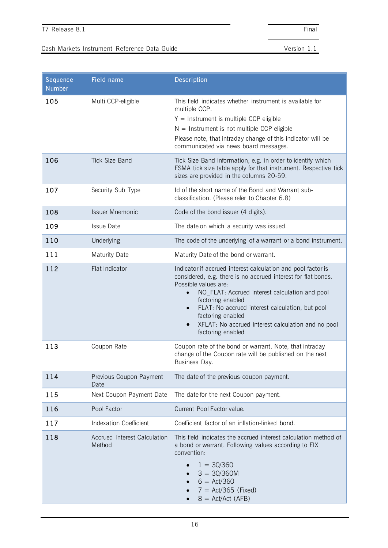| Sequence<br><b>Number</b> | Field name                             | Description                                                                                                                                                                                                                                                                                                                                                                                               |
|---------------------------|----------------------------------------|-----------------------------------------------------------------------------------------------------------------------------------------------------------------------------------------------------------------------------------------------------------------------------------------------------------------------------------------------------------------------------------------------------------|
| 105                       | Multi CCP-eligible                     | This field indicates whether instrument is available for<br>multiple CCP.<br>$Y =$ Instrument is multiple CCP eligible<br>$N =$ Instrument is not multiple CCP eligible<br>Please note, that intraday change of this indicator will be<br>communicated via news board messages.                                                                                                                           |
| 106                       | <b>Tick Size Band</b>                  | Tick Size Band information, e.g. in order to identify which<br>ESMA tick size table apply for that instrument. Respective tick<br>sizes are provided in the columns 20-59.                                                                                                                                                                                                                                |
| 107                       | Security Sub Type                      | Id of the short name of the Bond and Warrant sub-<br>classification. (Please refer to Chapter 6.8)                                                                                                                                                                                                                                                                                                        |
| 108                       | <b>Issuer Mnemonic</b>                 | Code of the bond issuer (4 digits).                                                                                                                                                                                                                                                                                                                                                                       |
| 109                       | <b>Issue Date</b>                      | The date on which a security was issued.                                                                                                                                                                                                                                                                                                                                                                  |
| 110                       | Underlying                             | The code of the underlying of a warrant or a bond instrument.                                                                                                                                                                                                                                                                                                                                             |
| 111                       | <b>Maturity Date</b>                   | Maturity Date of the bond or warrant.                                                                                                                                                                                                                                                                                                                                                                     |
| 112                       | Flat Indicator                         | Indicator if accrued interest calculation and pool factor is<br>considered, e.g. there is no accrued interest for flat bonds.<br>Possible values are:<br>NO FLAT: Accrued interest calculation and pool<br>factoring enabled<br>FLAT: No accrued interest calculation, but pool<br>$\bullet$<br>factoring enabled<br>XFLAT: No accrued interest calculation and no pool<br>$\bullet$<br>factoring enabled |
| 113                       | Coupon Rate                            | Coupon rate of the bond or warrant. Note, that intraday<br>change of the Coupon rate will be published on the next<br>Business Day.                                                                                                                                                                                                                                                                       |
| 114                       | Previous Coupon Payment<br>Date        | The date of the previous coupon payment.                                                                                                                                                                                                                                                                                                                                                                  |
| 115                       | Next Coupon Payment Date               | The date for the next Coupon payment.                                                                                                                                                                                                                                                                                                                                                                     |
| 116                       | Pool Factor                            | Current Pool Factor value.                                                                                                                                                                                                                                                                                                                                                                                |
| 117                       | <b>Indexation Coefficient</b>          | Coefficient factor of an inflation-linked bond.                                                                                                                                                                                                                                                                                                                                                           |
| 118                       | Accrued Interest Calculation<br>Method | This field indicates the accrued interest calculation method of<br>a bond or warrant. Following values according to FIX<br>convention:<br>$1 = 30/360$<br>$3 = 30/360M$<br>$6 = Act/360$<br>$7 = \text{Act}/365$ (Fixed)<br>$8 =$ Act/Act (AFB)                                                                                                                                                           |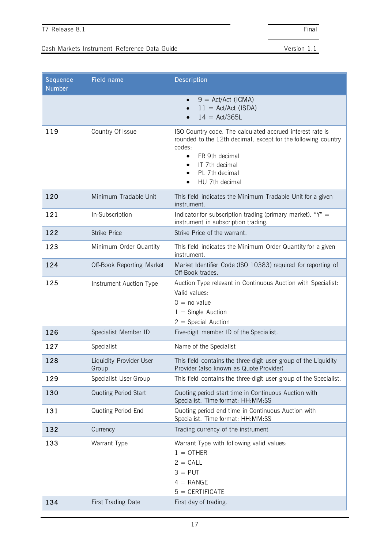| Sequence<br><b>Number</b> | Field name                              | Description                                                                                                                                                                                                               |
|---------------------------|-----------------------------------------|---------------------------------------------------------------------------------------------------------------------------------------------------------------------------------------------------------------------------|
|                           |                                         | $9 = \text{Act}/\text{Act}$ (ICMA)<br>$\bullet$<br>$11 = \text{Act}/\text{Act}$ (ISDA)<br>$14 = \text{Act}/365L$                                                                                                          |
| 119                       | Country Of Issue                        | ISO Country code. The calculated accrued interest rate is<br>rounded to the 12th decimal, except for the following country<br>codes:<br>FR 9th decimal<br>$\bullet$<br>IT 7th decimal<br>PL 7th decimal<br>HU 7th decimal |
| 120                       | Minimum Tradable Unit                   | This field indicates the Minimum Tradable Unit for a given<br>instrument.                                                                                                                                                 |
| 121                       | In-Subscription                         | Indicator for subscription trading (primary market). "Y" =<br>instrument in subscription trading.                                                                                                                         |
| 122                       | <b>Strike Price</b>                     | Strike Price of the warrant.                                                                                                                                                                                              |
| 123                       | Minimum Order Quantity                  | This field indicates the Minimum Order Quantity for a given<br>instrument.                                                                                                                                                |
| 124                       | Off-Book Reporting Market               | Market Identifier Code (ISO 10383) required for reporting of<br>Off-Book trades.                                                                                                                                          |
| 125                       | Instrument Auction Type                 | Auction Type relevant in Continuous Auction with Specialist:<br>Valid values:<br>$0 = no value$<br>$1 =$ Single Auction<br>$2 =$ Special Auction                                                                          |
| 126                       | Specialist Member ID                    | Five-digit member ID of the Specialist.                                                                                                                                                                                   |
| 127                       | Specialist                              | Name of the Specialist                                                                                                                                                                                                    |
| 128                       | <b>Liquidity Provider User</b><br>Group | This field contains the three-digit user group of the Liquidity<br>Provider (also known as Quote Provider)                                                                                                                |
| 129                       | Specialist User Group                   | This field contains the three-digit user group of the Specialist.                                                                                                                                                         |
| 130                       | <b>Quoting Period Start</b>             | Quoting period start time in Continuous Auction with<br>Specialist. Time format: HH:MM:SS                                                                                                                                 |
| 131                       | Quoting Period End                      | Quoting period end time in Continuous Auction with<br>Specialist. Time format: HH:MM:SS                                                                                                                                   |
| 132                       | Currency                                | Trading currency of the instrument                                                                                                                                                                                        |
| 133                       | Warrant Type                            | Warrant Type with following valid values:<br>$1 = 0$ THER<br>$2 = CALL$<br>$3 =$ PUT<br>$4 = RANGE$<br>$5 = CERTIFICATE$                                                                                                  |
| 134                       | <b>First Trading Date</b>               | First day of trading.                                                                                                                                                                                                     |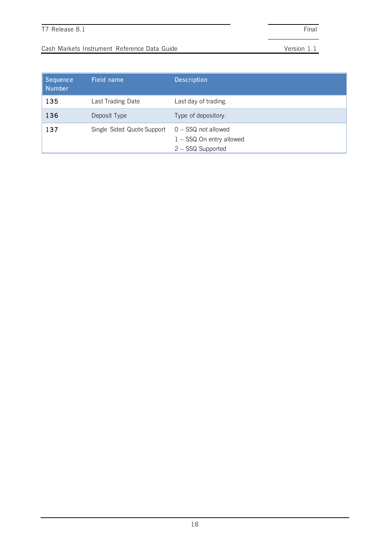| Sequence<br>Number | Field name                 | <b>Description</b>                                                       |
|--------------------|----------------------------|--------------------------------------------------------------------------|
| 135                | Last Trading Date          | Last day of trading.                                                     |
| 136                | Deposit Type               | Type of depository.                                                      |
| 137                | Single Sided Quote Support | $0 -$ SSQ not allowed<br>$1 -$ SSQ On entry allowed<br>2 - SSQ Supported |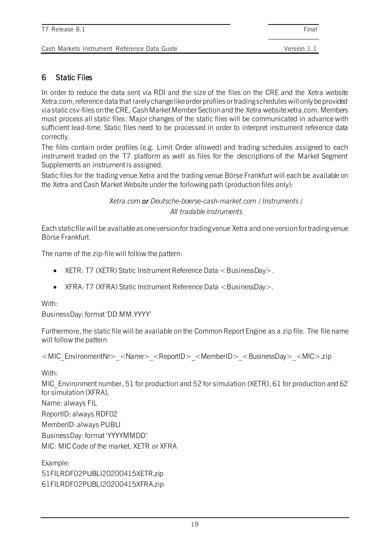### 6 Static Files

In order to reduce the data sent via RDI and the size of the files on the CRE and the Xetra website Xetra.com, reference data that rarely change like order profiles or trading schedules will only be provided via static csv-files on the CRE, Cash Market Member Section and the Xetra website xetra.com. Members must process all static files. Major changes of the static files will be communicated in advance with sufficient lead-time. Static files need to be processed in order to interpret instrument reference data correctly.

The files contain order profiles (e.g. Limit Order allowed) and trading schedules assigned to each instrument traded on the T7 platform as well as files for the descriptions of the Market Segment Supplements an instrument is assigned.

Static files for the trading venue Xetra and the trading venue Börse Frankfurt will each be available on the Xetra and Cash Market Website under the following path (production files only):

> *Xetra.com or Deutsche-boerse-cash-market.com / Instruments / All tradable instruments*

Each static file will be available as one version for trading venue Xetra and one version for trading venue Börse Frankfurt.

The name of the zip-file will follow the pattern:

- XETR: T7 (XETR) Static Instrument Reference Data  $\lt$  BusinessDay  $\gt$ .
- XFRA: T7 (XFRA) Static Instrument Reference Data <BusinessDay>.

With:

BusinessDay: format 'DD.MM.YYYY'

Furthermore, the static file will be available on the Common Report Engine as a zip file. The file name will follow the pattern

<MIC\_EnvironmentNr>\_<Name>\_<ReportID>\_<MemberID>\_<BusinessDay>\_<MIC>.zip

With:

MIC Environment number, 51 for production and 52 for simulation (XETR), 61 for production and 62 for simulation (XFRA),

Name: always FIL

ReportID: always RDF02

MemberID: always PUBLI

BusinessDay: format 'YYYYMMDD'

MIC: MIC Code of the market, XETR or XFRA

Example:

51FILRDF02PUBLI20200415XETR.zip

61FILRDF02PUBLI20200415XFRA.zip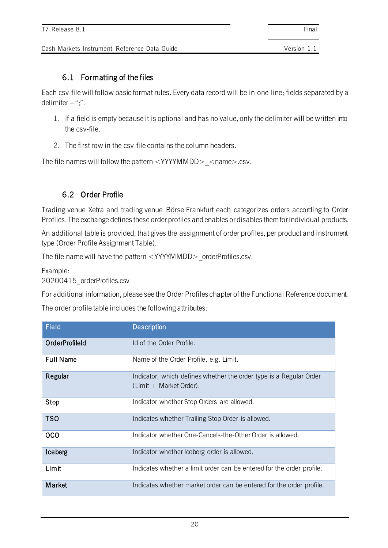### 6.1 Formatting of the files

Each csv-file will follow basic format rules. Every data record will be in one line; fields separated by a delimiter  $-$  ";".

- 1. If a field is empty because it is optional and has no value, only the delimiter will be written into the csv-file.
- 2. The first row in the csv-file contains the column headers.

The file names will follow the pattern  $\langle$  YYYYMMDD $>$   $\langle$  name $>$ .csv.

### 6.2 Order Profile

Trading venue Xetra and trading venue Börse Frankfurt each categorizes orders according to Order Profiles. The exchange defines these order profiles and enables or disables them for individual products.

An additional table is provided, that gives the assignment of order profiles, per product and instrument type (Order Profile Assignment Table).

The file name will have the pattern <YYYYMMDD> orderProfiles.csv.

Example: 20200415\_orderProfiles.csv

For additional information, please see the Order Profiles chapter of the Functional Reference document.

The order profile table includes the following attributes:

| <b>Field</b>     | <b>Description</b>                                                                            |
|------------------|-----------------------------------------------------------------------------------------------|
| OrderProfileId   | Id of the Order Profile.                                                                      |
| <b>Full Name</b> | Name of the Order Profile, e.g. Limit.                                                        |
| Regular          | Indicator, which defines whether the order type is a Regular Order<br>(Limit + Market Order). |
| Stop             | Indicator whether Stop Orders are allowed.                                                    |
| <b>TSO</b>       | Indicates whether Trailing Stop Order is allowed.                                             |
| <b>OCO</b>       | Indicator whether One-Cancels-the-Other Order is allowed.                                     |
| Iceberg          | Indicator whether Iceberg order is allowed.                                                   |
| Limit            | Indicates whether a limit order can be entered for the order profile.                         |
| Market           | Indicates whether market order can be entered for the order profile.                          |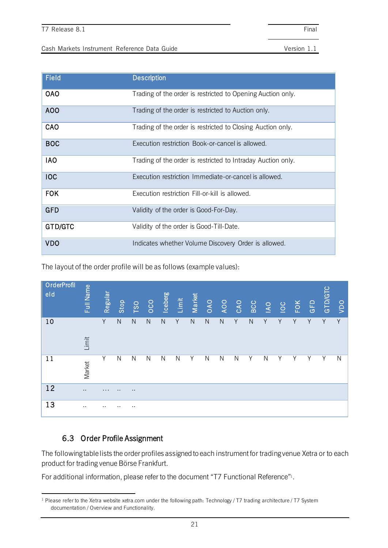| <b>Field</b> | <b>Description</b>                                           |
|--------------|--------------------------------------------------------------|
| <b>OAO</b>   | Trading of the order is restricted to Opening Auction only.  |
| AOO          | Trading of the order is restricted to Auction only.          |
| CAO          | Trading of the order is restricted to Closing Auction only.  |
| <b>BOC</b>   | Execution restriction Book-or-cancel is allowed.             |
| <b>IAO</b>   | Trading of the order is restricted to Intraday Auction only. |
| <b>IOC</b>   | Execution restriction Immediate-or-cancel is allowed.        |
| <b>FOK</b>   | Execution restriction Fill-or-kill is allowed.               |
| <b>GFD</b>   | Validity of the order is Good-For-Day.                       |
| GTD/GTC      | Validity of the order is Good-Till-Date.                     |
| <b>VDO</b>   | Indicates whether Volume Discovery Order is allowed.         |

The layout of the order profile will be as follows (example values):

| OrderProfil<br>eld | Full Name | Regular   | Stop         | TSO          | OOO          | <b>Iceberg</b> | Limit        | Market      | OAO          | <b>OOK</b>   | CAO          | <b>BCC</b>   | $\overline{1}$ | S | <b>FOK</b> | GFD | GTD/GTC | <b>DO</b> |
|--------------------|-----------|-----------|--------------|--------------|--------------|----------------|--------------|-------------|--------------|--------------|--------------|--------------|----------------|---|------------|-----|---------|-----------|
| 10                 | Limit     | Y         | $\mathsf{N}$ | $\mathsf{N}$ | $\mathsf{N}$ | $\mathsf{N}$   | Y            | $\mathsf N$ | ${\sf N}$    | ${\sf N}$    | Υ            | $\mathsf{N}$ | Y              | Υ | Y          | Y   | Y       | Y         |
| 11                 | Market    | Y         | N            | $\mathsf{N}$ | $\mathsf{N}$ | $\mathsf{N}$   | $\mathsf{N}$ | Y           | $\mathsf{N}$ | $\mathsf{N}$ | $\mathsf{N}$ | Y            | $\mathsf{N}$   | Υ | Υ          | Υ   | Υ       | N         |
| 12                 | $\sim$    | $\cdots$  | $\cdots$     | $\sim$       |              |                |              |             |              |              |              |              |                |   |            |     |         |           |
| 13                 | $\sim$    | $\cdot$ . | $\cdot$ .    | $\sim$       |              |                |              |             |              |              |              |              |                |   |            |     |         |           |

## 6.3 Order Profile Assignment

The following table lists the order profiles assigned to each instrument for trading venue Xetra or to each product for trading venue Börse Frankfurt.

For additional information, please refer to the document "T7 Functional Reference" 1 .

<sup>&</sup>lt;sup>1</sup> Please refer to the Xetra website xetra.com under the following path: Technology / T7 trading architecture / T7 System documentation / Overview and Functionality.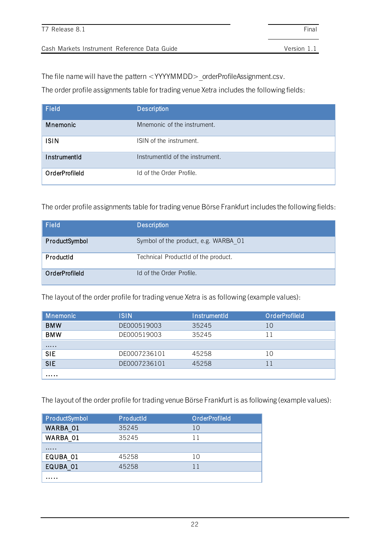The file name will have the pattern <YYYYMMDD>\_orderProfileAssignment.csv.

The order profile assignments table for trading venue Xetra includes the following fields:

| Field          | <b>Description</b>              |
|----------------|---------------------------------|
| Mnemonic       | Mnemonic of the instrument.     |
| <b>ISIN</b>    | ISIN of the instrument.         |
| InstrumentId   | InstrumentId of the instrument. |
| OrderProfileId | Id of the Order Profile.        |

The order profile assignments table for trading venue Börse Frankfurt includes the following fields:

| Field          | <b>Description</b>                   |
|----------------|--------------------------------------|
| ProductSymbol  | Symbol of the product, e.g. WARBA 01 |
| Productid      | Technical ProductId of the product.  |
| OrderProfileId | Id of the Order Profile.             |

The layout of the order profile for trading venue Xetra is as following (example values):

| <b>Mnemonic</b> | <b>ISIN</b>  | <b>InstrumentId</b> | OrderProfileId |
|-----------------|--------------|---------------------|----------------|
| <b>BMW</b>      | DE000519003  | 35245               | 10             |
| <b>BMW</b>      | DE000519003  | 35245               | 11             |
|                 |              |                     |                |
| <b>SIE</b>      | DE0007236101 | 45258               | 10             |
| <b>SIE</b>      | DE0007236101 | 45258               | 11             |
| .               |              |                     |                |

The layout of the order profile for trading venue Börse Frankfurt is as following (example values):

| ProductSymbol | ProductId | <b>OrderProfileId</b> |
|---------------|-----------|-----------------------|
| WARBA 01      | 35245     | 10                    |
| WARBA 01      | 35245     | 11                    |
| .             |           |                       |
| EQUBA 01      | 45258     | 10                    |
| EQUBA 01      | 45258     | 11                    |
| .             |           |                       |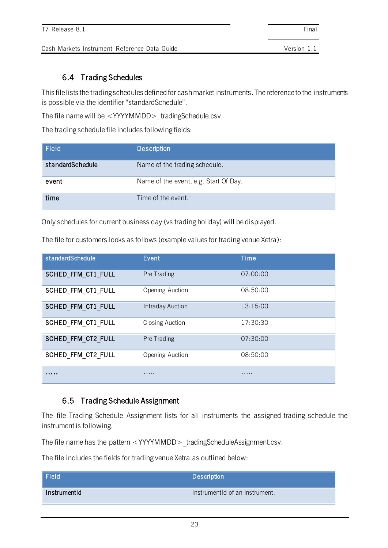### 6.4 Trading Schedules

This file lists the trading schedules defined for cash market instruments. The reference to the instruments is possible via the identifier "standardSchedule".

The file name will be <YYYYMMDD>\_tradingSchedule.csv.

The trading schedule file includes following fields:

| Field            | <b>Description</b>                    |
|------------------|---------------------------------------|
| standardSchedule | Name of the trading schedule.         |
| event            | Name of the event, e.g. Start Of Day. |
| time             | Time of the event.                    |

Only schedules for current business day (vs trading holiday) will be displayed.

The file for customers looks as follows (example values for trading venue Xetra):

| standardSchedule          | Event                   | Time     |
|---------------------------|-------------------------|----------|
| <b>SCHED FFM CT1 FULL</b> | Pre Trading             | 07:00:00 |
| SCHED FFM CT1 FULL        | Opening Auction         | 08:50:00 |
| <b>SCHED FFM CT1 FULL</b> | <b>Intraday Auction</b> | 13:15:00 |
| SCHED FFM CT1 FULL        | <b>Closing Auction</b>  | 17:30:30 |
| <b>SCHED FFM CT2 FULL</b> | Pre Trading             | 07:30:00 |
| <b>SCHED FFM CT2 FULL</b> | Opening Auction         | 08:50:00 |
| .                         | .                       | .        |

### 6.5 Trading Schedule Assignment

The file Trading Schedule Assignment lists for all instruments the assigned trading schedule the instrument is following.

The file name has the pattern <YYYYMMDD>\_tradingScheduleAssignment.csv.

The file includes the fields for trading venue Xetra as outlined below:

| $\vert$ Field | <b>Description</b>             |
|---------------|--------------------------------|
| InstrumentId  | InstrumentId of an instrument. |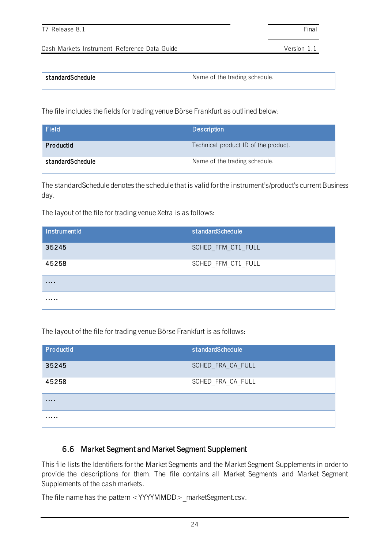| standardSchedule | Name of the trading schedule. |
|------------------|-------------------------------|

The file includes the fields for trading venue Börse Frankfurt as outlined below:

| Field            | <b>Description</b>                   |
|------------------|--------------------------------------|
| ProductId        | Technical product ID of the product. |
| standardSchedule | Name of the trading schedule.        |

The standardSchedule denotes the schedule that is valid for the instrument's/product's current Business day.

The layout of the file for trading venue Xetra is as follows:

| InstrumentId | standardSchedule   |
|--------------|--------------------|
| 35245        | SCHED FFM CT1 FULL |
| 45258        | SCHED_FFM_CT1_FULL |
| .            |                    |
| .            |                    |

The layout of the file for trading venue Börse Frankfurt is as follows:

| ProductId | standardSchedule  |
|-----------|-------------------|
| 35245     | SCHED FRA CA FULL |
| 45258     | SCHED FRA CA FULL |
| .         |                   |
| .         |                   |

### 6.6 Market Segment and Market Segment Supplement

This file lists the Identifiers for the Market Segments and the Market Segment Supplements in order to provide the descriptions for them. The file contains all Market Segments and Market Segment Supplements of the cash markets.

The file name has the pattern <YYYYMMDD> marketSegment.csv.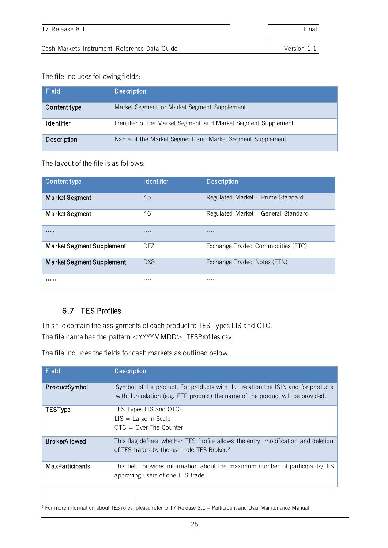The file includes following fields:

| <b>Field</b>      | <b>Description</b>                                              |
|-------------------|-----------------------------------------------------------------|
| Content type      | Market Segment or Market Segment Supplement.                    |
| <b>Identifier</b> | Identifier of the Market Segment and Market Segment Supplement. |
| Description       | Name of the Market Segment and Market Segment Supplement.       |

The layout of the file is as follows:

| Content type                     | <b>Identifier</b> | <b>Description</b>                  |
|----------------------------------|-------------------|-------------------------------------|
| <b>Market Segment</b>            | 45                | Regulated Market – Prime Standard   |
| <b>Market Segment</b>            | 46                | Regulated Market - General Standard |
| .                                |                   | .                                   |
| Market Segment Supplement        | DEZ.              | Exchange Traded Commodities (ETC)   |
| <b>Market Segment Supplement</b> | DX8               | Exchange Traded Notes (ETN)         |
| .                                | .                 | .                                   |

### 6.7 TES Profiles

This file contain the assignments of each product to TES Types LIS and OTC. The file name has the pattern <YYYYMMDD>\_TESProfiles.csv.

The file includes the fields for cash markets as outlined below:

| Field                  | <b>Description</b>                                                                                                                                                    |
|------------------------|-----------------------------------------------------------------------------------------------------------------------------------------------------------------------|
| ProductSymbol          | Symbol of the product. For products with $1:1$ relation the ISIN and for products<br>with $1:n$ relation (e.g. ETP product) the name of the product will be provided. |
| <b>TESType</b>         | TES Types LIS and OTC:<br>$LIS = Large In Scale$<br>$OTC = Over The Counter$                                                                                          |
| <b>BrokerAllowed</b>   | This flag defines whether TES Profile allows the entry, modification and deletion<br>of TES trades by the user role TES Broker. <sup>2</sup>                          |
| <b>MaxParticipants</b> | This field provides information about the maximum number of participants/TES<br>approving users of one TES trade.                                                     |

<sup>2</sup> For more information about TES roles, please refer to T7 Release 8.1 – Participant and User Maintenance Manual.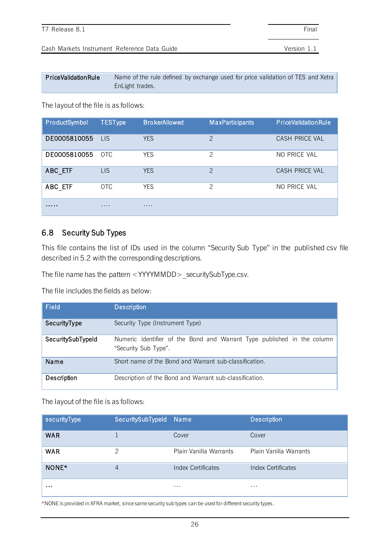| PriceValidationRule | Name of the rule defined by exchange used for price validation of TES and Xetra |
|---------------------|---------------------------------------------------------------------------------|
|                     | EnLight trades.                                                                 |

The layout of the file is as follows:

| ProductSymbol | <b>TESType</b>   | <b>BrokerAllowed</b> | <b>MaxParticipants</b> | <b>PriceValidationRule</b> |
|---------------|------------------|----------------------|------------------------|----------------------------|
| DE0005810055  | LIS <sup>.</sup> | <b>YES</b>           | $\mathcal{P}$          | CASH PRICE VAL             |
| DE0005810055  | OTC              | <b>YES</b>           | $\mathcal{P}$          | NO PRICE VAL               |
| ABC ETF       | <b>LIS</b>       | <b>YES</b>           | $\mathcal{P}$          | CASH PRICE VAL             |
| ABC ETF       | <b>OTC</b>       | <b>YES</b>           | $\mathcal{P}$          | NO PRICE VAL               |
| .             | .                | .                    |                        |                            |

### <span id="page-25-0"></span>6.8 Security Sub Types

This file contains the list of IDs used in the column "Security Sub Type" in the published csv file described in 5.2 with the corresponding descriptions.

The file name has the pattern <YYYYMMDD> securitySubType.csv.

The file includes the fields as below:

| Field             | <b>Description</b>                                                                              |
|-------------------|-------------------------------------------------------------------------------------------------|
| SecurityType      | Security Type (Instrument Type)                                                                 |
| SecuritySubTypeId | Numeric identifier of the Bond and Warrant Type published in the column<br>"Security Sub Type". |
| Name              | Short name of the Bond and Warrant sub-classification.                                          |
| Description       | Description of the Bond and Warrant sub-classification.                                         |

The layout of the file is as follows:

| securityType | SecuritySubTypeId Name |                        | <b>Description</b>     |
|--------------|------------------------|------------------------|------------------------|
| <b>WAR</b>   |                        | Cover                  | Cover                  |
| <b>WAR</b>   | 2                      | Plain Vanilla Warrants | Plain Vanilla Warrants |
| NONE*        | 4                      | Index Certificates     | Index Certificates     |
| $\cdots$     |                        | $\cdots$               | $\cdots$               |

\*NONE is provided in XFRA market, since same security sub types can be used for different security types.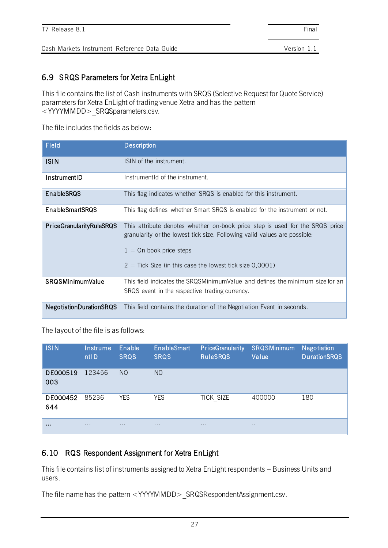### 6.9 SRQS Parameters for Xetra EnLight

This file contains the list of Cash instruments with SRQS (Selective Request for Quote Service) parameters for Xetra EnLight of trading venue Xetra and has the pattern <YYYYMMDD>\_SRQSparameters.csv.

The file includes the fields as below:

| Field                           | <b>Description</b>                                                                                                                                                                                                                                   |
|---------------------------------|------------------------------------------------------------------------------------------------------------------------------------------------------------------------------------------------------------------------------------------------------|
| <b>ISIN</b>                     | ISIN of the instrument.                                                                                                                                                                                                                              |
| InstrumentID                    | InstrumentId of the instrument.                                                                                                                                                                                                                      |
| <b>EnableSRQS</b>               | This flag indicates whether SRQS is enabled for this instrument.                                                                                                                                                                                     |
| <b>EnableSmartSRQS</b>          | This flag defines whether Smart SRQS is enabled for the instrument or not.                                                                                                                                                                           |
| <b>PriceGranularityRuleSRQS</b> | This attribute denotes whether on-book price step is used for the SRQS price<br>granularity or the lowest tick size. Following valid values are possible:<br>$1 =$ On book price steps<br>$2 =$ Tick Size (in this case the lowest tick size 0,0001) |
| <b>SRQSMinimumValue</b>         | This field indicates the SRQSMinimumValue and defines the minimum size for an<br>SRQS event in the respective trading currency.                                                                                                                      |
| <b>NegotiationDurationSRQS</b>  | This field contains the duration of the Negotiation Event in seconds.                                                                                                                                                                                |

The layout of the file is as follows:

| <b>ISIN</b>     | Instrume<br>ntID | Enable<br><b>SRQS</b> | <b>EnableSmart</b><br><b>SRQS</b> | <b>PriceGranularity</b><br><b>RuleSRQS</b> | <b>SRQSMinimum</b><br>Value | <b>Negotiation</b><br><b>DurationSRQS</b> |
|-----------------|------------------|-----------------------|-----------------------------------|--------------------------------------------|-----------------------------|-------------------------------------------|
| DE000519<br>003 | 123456           | N <sub>O</sub>        | N <sub>O</sub>                    |                                            |                             |                                           |
| DE000452<br>644 | 85236            | <b>YES</b>            | <b>YES</b>                        | TICK SIZE                                  | 400000                      | 180                                       |
| $\cdots$        | $\cdots$         | $\cdots$              | $\cdots$                          | $\cdots$                                   | $\cdots$                    |                                           |

### 6.10 RQS Respondent Assignment for Xetra EnLight

This file contains list of instruments assigned to Xetra EnLight respondents – Business Units and users.

The file name has the pattern <YYYYMMDD> SRQSRespondentAssignment.csv.